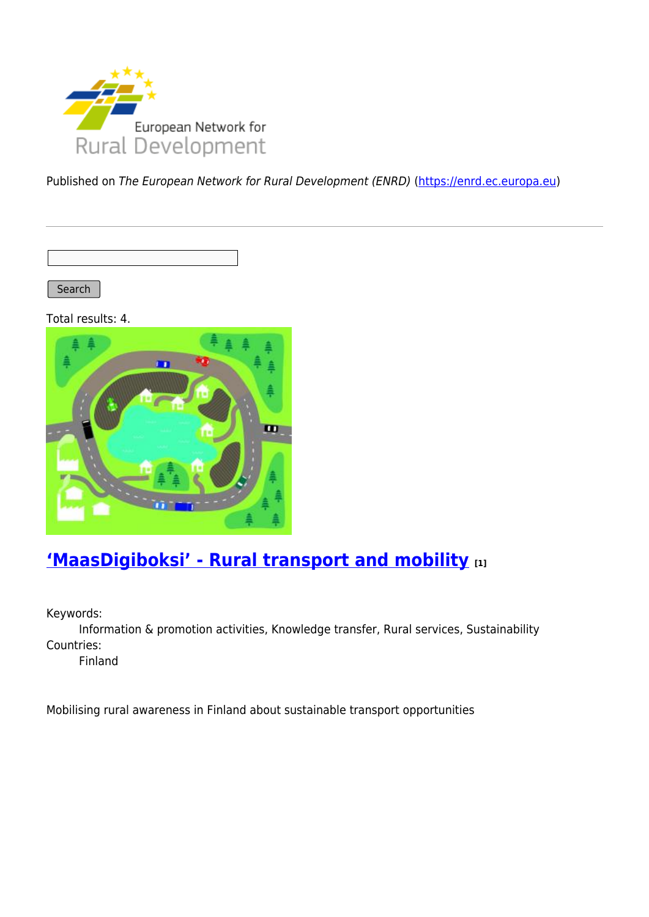

Published on The European Network for Rural Development (ENRD) [\(https://enrd.ec.europa.eu](https://enrd.ec.europa.eu))

Search |

Total results: 4.



## **['MaasDigiboksi' - Rural transport and mobility](https://enrd.ec.europa.eu/projects-practice/maasdigiboksi-rural-transport-and-mobility_en) [1]**

Keywords:

Information & promotion activities, Knowledge transfer, Rural services, Sustainability Countries:

Finland

Mobilising rural awareness in Finland about sustainable transport opportunities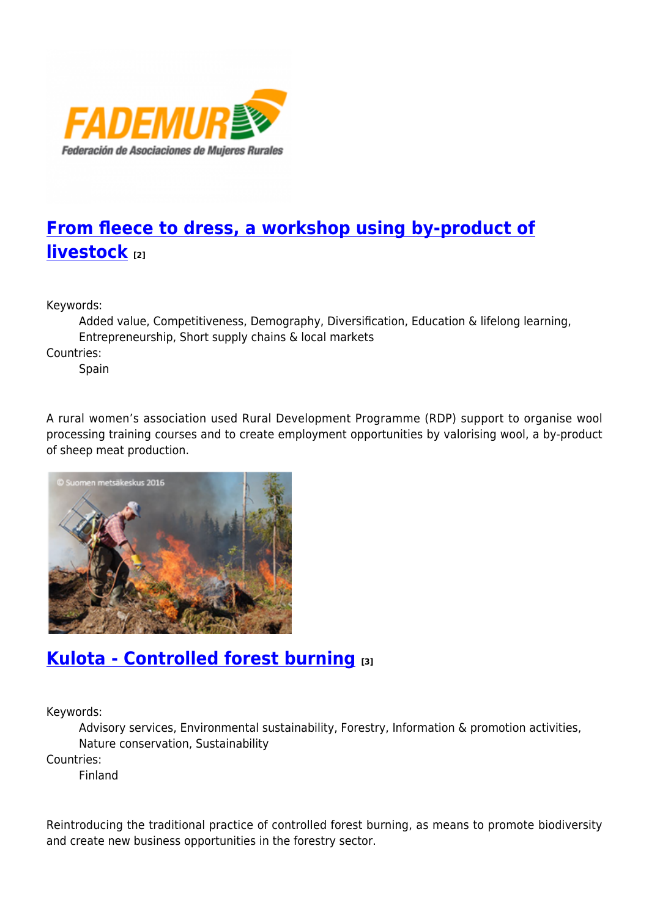

# **[From fleece to dress, a workshop using by-product of](https://enrd.ec.europa.eu/projects-practice/fleece-dress-workshop-using-product-livestock_en) [livestock](https://enrd.ec.europa.eu/projects-practice/fleece-dress-workshop-using-product-livestock_en) [2]**

Keywords:

Added value, Competitiveness, Demography, Diversification, Education & lifelong learning, Entrepreneurship, Short supply chains & local markets

Countries:

Spain

A rural women's association used Rural Development Programme (RDP) support to organise wool processing training courses and to create employment opportunities by valorising wool, a by-product of sheep meat production.



### **[Kulota - Controlled forest burning](https://enrd.ec.europa.eu/projects-practice/kulota-controlled-forest-burning_en) [3]**

Keywords:

Advisory services, Environmental sustainability, Forestry, Information & promotion activities, Nature conservation, Sustainability

Countries:

Finland

Reintroducing the traditional practice of controlled forest burning, as means to promote biodiversity and create new business opportunities in the forestry sector.